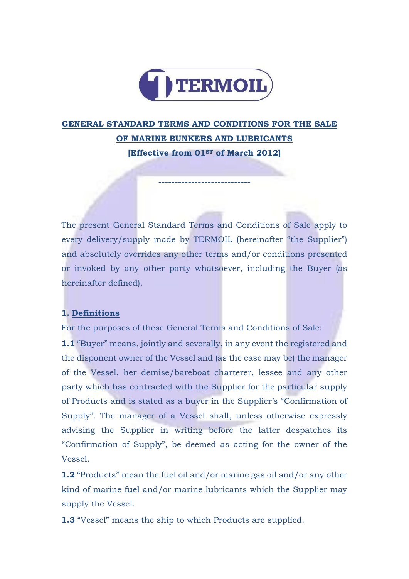

# **GENERAL STANDARD TERMS AND CONDITIONS FOR THE SALE OF MARINE BUNKERS AND LUBRICANTS [Effective from 01ST of March 2012]**

----------------------------

The present General Standard Terms and Conditions of Sale apply to every delivery/supply made by TERMOIL (hereinafter "the Supplier") and absolutely overrides any other terms and/or conditions presented or invoked by any other party whatsoever, including the Buyer (as hereinafter defined).

## **1. Definitions**

For the purposes of these General Terms and Conditions of Sale:

**1.1** "Buyer" means, jointly and severally, in any event the registered and the disponent owner of the Vessel and (as the case may be) the manager of the Vessel, her demise/bareboat charterer, lessee and any other party which has contracted with the Supplier for the particular supply of Products and is stated as a buyer in the Supplier's "Confirmation of Supply". The manager of a Vessel shall, unless otherwise expressly advising the Supplier in writing before the latter despatches its "Confirmation of Supply", be deemed as acting for the owner of the Vessel.

**1.2** "Products" mean the fuel oil and/or marine gas oil and/or any other kind of marine fuel and/or marine lubricants which the Supplier may supply the Vessel.

**1.3** "Vessel" means the ship to which Products are supplied.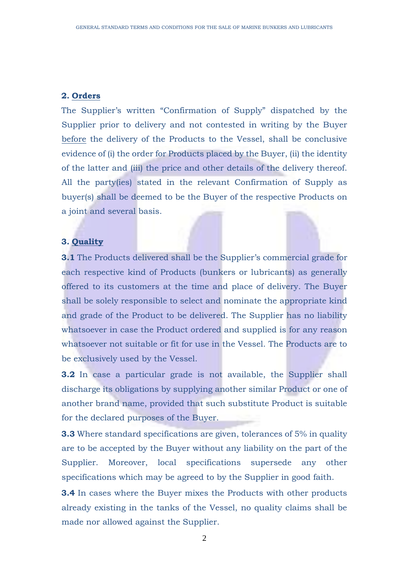## **2. Orders**

The Supplier's written "Confirmation of Supply" dispatched by the Supplier prior to delivery and not contested in writing by the Buyer before the delivery of the Products to the Vessel, shall be conclusive evidence of (i) the order for Products placed by the Buyer, (ii) the identity of the latter and (iii) the price and other details of the delivery thereof. All the party(ies) stated in the relevant Confirmation of Supply as buyer(s) shall be deemed to be the Buyer of the respective Products on a joint and several basis.

## **3. Quality**

**3.1** The Products delivered shall be the Supplier's commercial grade for each respective kind of Products (bunkers or lubricants) as generally offered to its customers at the time and place of delivery. The Buyer shall be solely responsible to select and nominate the appropriate kind and grade of the Product to be delivered. The Supplier has no liability whatsoever in case the Product ordered and supplied is for any reason whatsoever not suitable or fit for use in the Vessel. The Products are to be exclusively used by the Vessel.

**3.2** In case a particular grade is not available, the Supplier shall discharge its obligations by supplying another similar Product or one of another brand name, provided that such substitute Product is suitable for the declared purposes of the Buyer.

**3.3** Where standard specifications are given, tolerances of 5% in quality are to be accepted by the Buyer without any liability on the part of the Supplier. Moreover, local specifications supersede any other specifications which may be agreed to by the Supplier in good faith.

**3.4** In cases where the Buyer mixes the Products with other products already existing in the tanks of the Vessel, no quality claims shall be made nor allowed against the Supplier.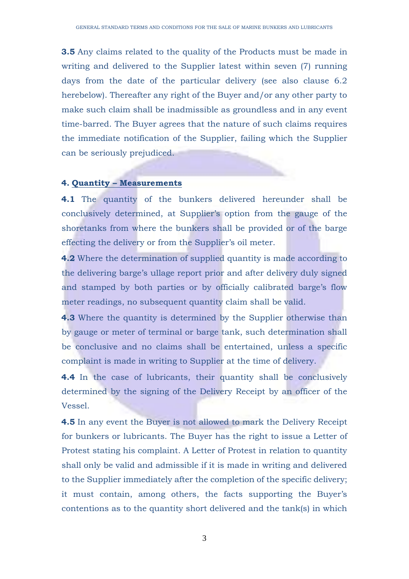**3.5** Any claims related to the quality of the Products must be made in writing and delivered to the Supplier latest within seven (7) running days from the date of the particular delivery (see also clause 6.2 herebelow). Thereafter any right of the Buyer and/or any other party to make such claim shall be inadmissible as groundless and in any event time-barred. The Buyer agrees that the nature of such claims requires the immediate notification of the Supplier, failing which the Supplier can be seriously prejudiced.

## **4. Quantity – Measurements**

**4.1** The quantity of the bunkers delivered hereunder shall be conclusively determined, at Supplier's option from the gauge of the shoretanks from where the bunkers shall be provided or of the barge effecting the delivery or from the Supplier's oil meter.

**4.2** Where the determination of supplied quantity is made according to the delivering barge's ullage report prior and after delivery duly signed and stamped by both parties or by officially calibrated barge's flow meter readings, no subsequent quantity claim shall be valid.

**4.3** Where the quantity is determined by the Supplier otherwise than by gauge or meter of terminal or barge tank, such determination shall be conclusive and no claims shall be entertained, unless a specific complaint is made in writing to Supplier at the time of delivery.

**4.4** In the case of lubricants, their quantity shall be conclusively determined by the signing of the Delivery Receipt by an officer of the Vessel.

**4.5** In any event the Buyer is not allowed to mark the Delivery Receipt for bunkers or lubricants. The Buyer has the right to issue a Letter of Protest stating his complaint. A Letter of Protest in relation to quantity shall only be valid and admissible if it is made in writing and delivered to the Supplier immediately after the completion of the specific delivery; it must contain, among others, the facts supporting the Buyer's contentions as to the quantity short delivered and the tank(s) in which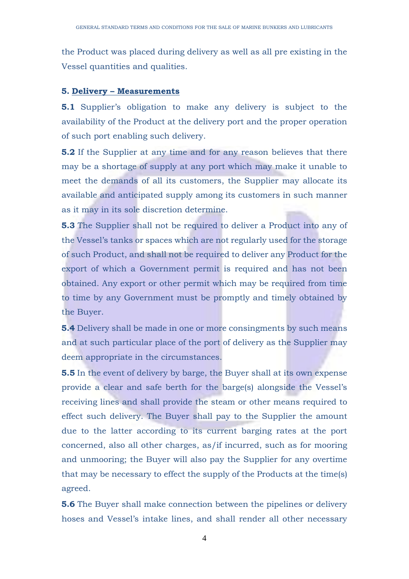the Product was placed during delivery as well as all pre existing in the Vessel quantities and qualities.

## **5. Delivery – Measurements**

**5.1** Supplier's obligation to make any delivery is subject to the availability of the Product at the delivery port and the proper operation of such port enabling such delivery.

**5.2** If the Supplier at any time and for any reason believes that there may be a shortage of supply at any port which may make it unable to meet the demands of all its customers, the Supplier may allocate its available and anticipated supply among its customers in such manner as it may in its sole discretion determine.

**5.3** The Supplier shall not be required to deliver a Product into any of the Vessel's tanks or spaces which are not regularly used for the storage of such Product, and shall not be required to deliver any Product for the export of which a Government permit is required and has not been obtained. Any export or other permit which may be required from time to time by any Government must be promptly and timely obtained by the Buyer.

**5.4** Delivery shall be made in one or more consingments by such means and at such particular place of the port of delivery as the Supplier may deem appropriate in the circumstances.

**5.5** In the event of delivery by barge, the Buyer shall at its own expense provide a clear and safe berth for the barge(s) alongside the Vessel's receiving lines and shall provide the steam or other means required to effect such delivery. The Buyer shall pay to the Supplier the amount due to the latter according to its current barging rates at the port concerned, also all other charges, as/if incurred, such as for mooring and unmooring; the Buyer will also pay the Supplier for any overtime that may be necessary to effect the supply of the Products at the time(s) agreed.

**5.6** The Buyer shall make connection between the pipelines or delivery hoses and Vessel's intake lines, and shall render all other necessary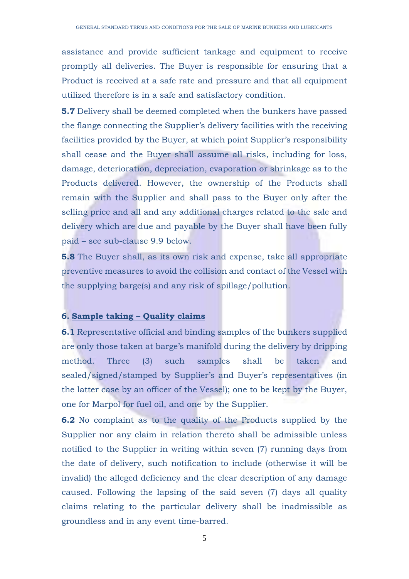assistance and provide sufficient tankage and equipment to receive promptly all deliveries. The Buyer is responsible for ensuring that a Product is received at a safe rate and pressure and that all equipment utilized therefore is in a safe and satisfactory condition.

**5.7** Delivery shall be deemed completed when the bunkers have passed the flange connecting the Supplier's delivery facilities with the receiving facilities provided by the Buyer, at which point Supplier's responsibility shall cease and the Buyer shall assume all risks, including for loss, damage, deterioration, depreciation, evaporation or shrinkage as to the Products delivered. However, the ownership of the Products shall remain with the Supplier and shall pass to the Buyer only after the selling price and all and any additional charges related to the sale and delivery which are due and payable by the Buyer shall have been fully paid – see sub-clause 9.9 below.

**5.8** The Buyer shall, as its own risk and expense, take all appropriate preventive measures to avoid the collision and contact of the Vessel with the supplying barge(s) and any risk of spillage/pollution.

#### **6. Sample taking – Quality claims**

**6.1** Representative official and binding samples of the bunkers supplied are only those taken at barge's manifold during the delivery by dripping method. Three (3) such samples shall be taken and sealed/signed/stamped by Supplier's and Buyer's representatives (in the latter case by an officer of the Vessel); one to be kept by the Buyer, one for Marpol for fuel oil, and one by the Supplier.

**6.2** No complaint as to the quality of the Products supplied by the Supplier nor any claim in relation thereto shall be admissible unless notified to the Supplier in writing within seven (7) running days from the date of delivery, such notification to include (otherwise it will be invalid) the alleged deficiency and the clear description of any damage caused. Following the lapsing of the said seven (7) days all quality claims relating to the particular delivery shall be inadmissible as groundless and in any event time-barred.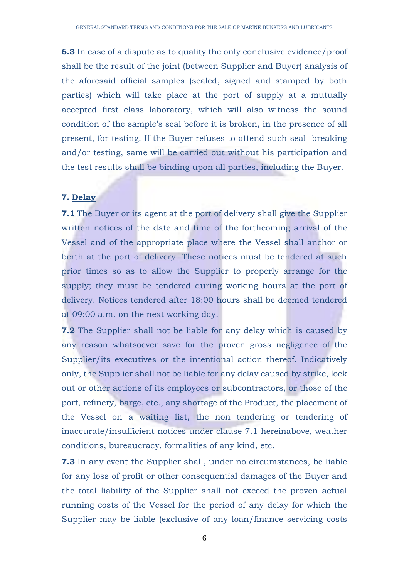**6.3** In case of a dispute as to quality the only conclusive evidence/proof shall be the result of the joint (between Supplier and Buyer) analysis of the aforesaid official samples (sealed, signed and stamped by both parties) which will take place at the port of supply at a mutually accepted first class laboratory, which will also witness the sound condition of the sample's seal before it is broken, in the presence of all present, for testing. If the Buyer refuses to attend such seal breaking and/or testing, same will be carried out without his participation and the test results shall be binding upon all parties, including the Buyer.

## **7. Delay**

**7.1** The Buyer or its agent at the port of delivery shall give the Supplier written notices of the date and time of the forthcoming arrival of the Vessel and of the appropriate place where the Vessel shall anchor or berth at the port of delivery. These notices must be tendered at such prior times so as to allow the Supplier to properly arrange for the supply; they must be tendered during working hours at the port of delivery. Notices tendered after 18:00 hours shall be deemed tendered at 09:00 a.m. on the next working day.

**7.2** The Supplier shall not be liable for any delay which is caused by any reason whatsoever save for the proven gross negligence of the Supplier/its executives or the intentional action thereof. Indicatively only, the Supplier shall not be liable for any delay caused by strike, lock out or other actions of its employees or subcontractors, or those of the port, refinery, barge, etc., any shortage of the Product, the placement of the Vessel on a waiting list, the non tendering or tendering of inaccurate/insufficient notices under clause 7.1 hereinabove, weather conditions, bureaucracy, formalities of any kind, etc.

**7.3** In any event the Supplier shall, under no circumstances, be liable for any loss of profit or other consequential damages of the Buyer and the total liability of the Supplier shall not exceed the proven actual running costs of the Vessel for the period of any delay for which the Supplier may be liable (exclusive of any loan/finance servicing costs

6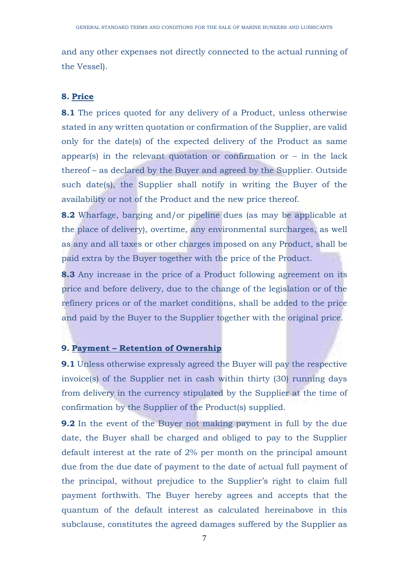and any other expenses not directly connected to the actual running of the Vessel).

## **8. Price**

**8.1** The prices quoted for any delivery of a Product, unless otherwise stated in any written quotation or confirmation of the Supplier, are valid only for the date(s) of the expected delivery of the Product as same appear(s) in the relevant quotation or confirmation or  $-$  in the lack thereof – as declared by the Buyer and agreed by the Supplier. Outside such date(s), the Supplier shall notify in writing the Buyer of the availability or not of the Product and the new price thereof.

**8.2** Wharfage, barging and/or pipeline dues (as may be applicable at the place of delivery), overtime, any environmental surcharges, as well as any and all taxes or other charges imposed on any Product, shall be paid extra by the Buyer together with the price of the Product.

**8.3** Any increase in the price of a Product following agreement on its price and before delivery, due to the change of the legislation or of the refinery prices or of the market conditions, shall be added to the price and paid by the Buyer to the Supplier together with the original price.

## **9. Payment – Retention of Ownership**

**9.1** Unless otherwise expressly agreed the Buyer will pay the respective invoice(s) of the Supplier net in cash within thirty (30) running days from delivery in the currency stipulated by the Supplier at the time of confirmation by the Supplier of the Product(s) supplied.

**9.2** In the event of the Buyer not making payment in full by the due date, the Buyer shall be charged and obliged to pay to the Supplier default interest at the rate of 2% per month on the principal amount due from the due date of payment to the date of actual full payment of the principal, without prejudice to the Supplier's right to claim full payment forthwith. The Buyer hereby agrees and accepts that the quantum of the default interest as calculated hereinabove in this subclause, constitutes the agreed damages suffered by the Supplier as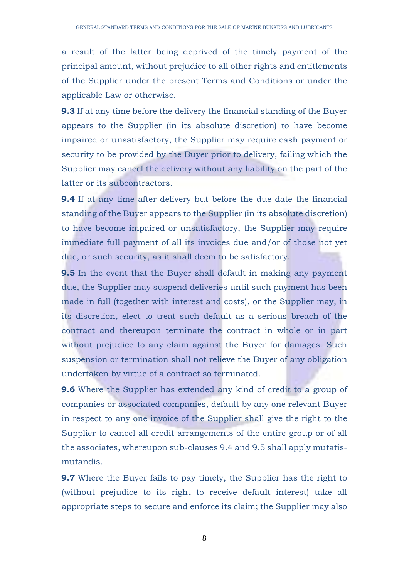a result of the latter being deprived of the timely payment of the principal amount, without prejudice to all other rights and entitlements of the Supplier under the present Terms and Conditions or under the applicable Law or otherwise.

**9.3** If at any time before the delivery the financial standing of the Buyer appears to the Supplier (in its absolute discretion) to have become impaired or unsatisfactory, the Supplier may require cash payment or security to be provided by the Buyer prior to delivery, failing which the Supplier may cancel the delivery without any liability on the part of the latter or its subcontractors.

**9.4** If at any time after delivery but before the due date the financial standing of the Buyer appears to the Supplier (in its absolute discretion) to have become impaired or unsatisfactory, the Supplier may require immediate full payment of all its invoices due and/or of those not yet due, or such security, as it shall deem to be satisfactory.

**9.5** In the event that the Buyer shall default in making any payment due, the Supplier may suspend deliveries until such payment has been made in full (together with interest and costs), or the Supplier may, in its discretion, elect to treat such default as a serious breach of the contract and thereupon terminate the contract in whole or in part without prejudice to any claim against the Buyer for damages. Such suspension or termination shall not relieve the Buyer of any obligation undertaken by virtue of a contract so terminated.

**9.6** Where the Supplier has extended any kind of credit to a group of companies or associated companies, default by any one relevant Buyer in respect to any one invoice of the Supplier shall give the right to the Supplier to cancel all credit arrangements of the entire group or of all the associates, whereupon sub-clauses 9.4 and 9.5 shall apply mutatismutandis.

**9.7** Where the Buyer fails to pay timely, the Supplier has the right to (without prejudice to its right to receive default interest) take all appropriate steps to secure and enforce its claim; the Supplier may also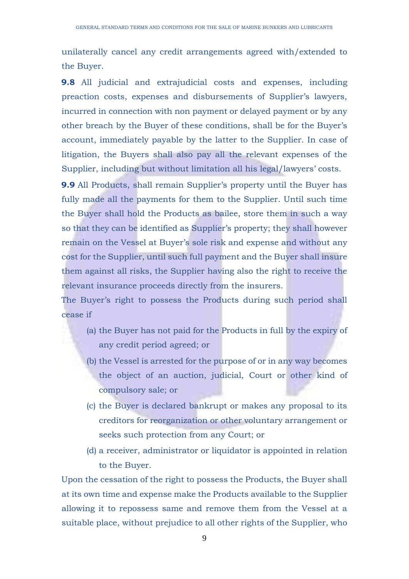unilaterally cancel any credit arrangements agreed with/extended to the Buyer.

**9.8** All judicial and extrajudicial costs and expenses, including preaction costs, expenses and disbursements of Supplier's lawyers, incurred in connection with non payment or delayed payment or by any other breach by the Buyer of these conditions, shall be for the Buyer's account, immediately payable by the latter to the Supplier. In case of litigation, the Buyers shall also pay all the relevant expenses of the Supplier, including but without limitation all his legal/lawyers' costs.

**9.9** All Products, shall remain Supplier's property until the Buyer has fully made all the payments for them to the Supplier. Until such time the Buyer shall hold the Products as bailee, store them in such a way so that they can be identified as Supplier's property; they shall however remain on the Vessel at Buyer's sole risk and expense and without any cost for the Supplier, until such full payment and the Buyer shall insure them against all risks, the Supplier having also the right to receive the relevant insurance proceeds directly from the insurers.

The Buyer's right to possess the Products during such period shall cease if

- (a) the Buyer has not paid for the Products in full by the expiry of any credit period agreed; or
- (b) the Vessel is arrested for the purpose of or in any way becomes the object of an auction, judicial, Court or other kind of compulsory sale; or
- (c) the Buyer is declared bankrupt or makes any proposal to its creditors for reorganization or other voluntary arrangement or seeks such protection from any Court; or
- (d) a receiver, administrator or liquidator is appointed in relation to the Buyer.

Upon the cessation of the right to possess the Products, the Buyer shall at its own time and expense make the Products available to the Supplier allowing it to repossess same and remove them from the Vessel at a suitable place, without prejudice to all other rights of the Supplier, who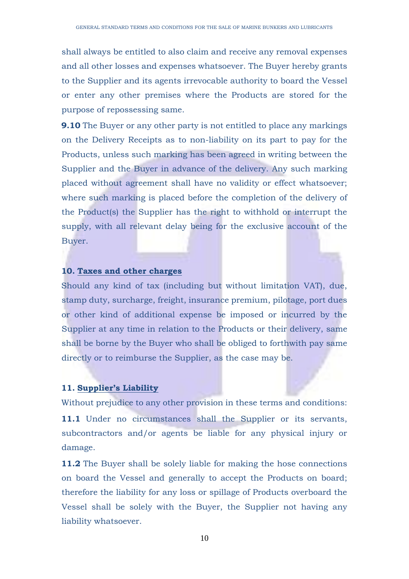shall always be entitled to also claim and receive any removal expenses and all other losses and expenses whatsoever. The Buyer hereby grants to the Supplier and its agents irrevocable authority to board the Vessel or enter any other premises where the Products are stored for the purpose of repossessing same.

**9.10** The Buyer or any other party is not entitled to place any markings on the Delivery Receipts as to non-liability on its part to pay for the Products, unless such marking has been agreed in writing between the Supplier and the Buyer in advance of the delivery. Any such marking placed without agreement shall have no validity or effect whatsoever; where such marking is placed before the completion of the delivery of the Product(s) the Supplier has the right to withhold or interrupt the supply, with all relevant delay being for the exclusive account of the Buyer.

#### **10. Taxes and other charges**

Should any kind of tax (including but without limitation VAT), due, stamp duty, surcharge, freight, insurance premium, pilotage, port dues or other kind of additional expense be imposed or incurred by the Supplier at any time in relation to the Products or their delivery, same shall be borne by the Buyer who shall be obliged to forthwith pay same directly or to reimburse the Supplier, as the case may be.

## **11. Supplier's Liability**

Without prejudice to any other provision in these terms and conditions: **11.1** Under no circumstances shall the Supplier or its servants, subcontractors and/or agents be liable for any physical injury or damage.

**11.2** The Buyer shall be solely liable for making the hose connections on board the Vessel and generally to accept the Products on board; therefore the liability for any loss or spillage of Products overboard the Vessel shall be solely with the Buyer, the Supplier not having any liability whatsoever.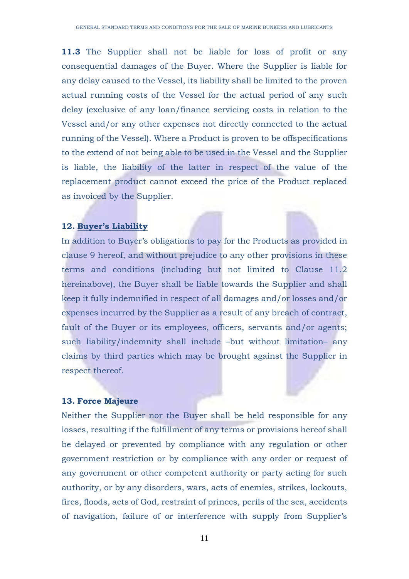**11.3** The Supplier shall not be liable for loss of profit or any consequential damages of the Buyer. Where the Supplier is liable for any delay caused to the Vessel, its liability shall be limited to the proven actual running costs of the Vessel for the actual period of any such delay (exclusive of any loan/finance servicing costs in relation to the Vessel and/or any other expenses not directly connected to the actual running of the Vessel). Where a Product is proven to be offspecifications to the extend of not being able to be used in the Vessel and the Supplier is liable, the liability of the latter in respect of the value of the replacement product cannot exceed the price of the Product replaced as invoiced by the Supplier.

#### **12. Buyer's Liability**

In addition to Buyer's obligations to pay for the Products as provided in clause 9 hereof, and without prejudice to any other provisions in these terms and conditions (including but not limited to Clause 11.2 hereinabove), the Buyer shall be liable towards the Supplier and shall keep it fully indemnified in respect of all damages and/or losses and/or expenses incurred by the Supplier as a result of any breach of contract, fault of the Buyer or its employees, officers, servants and/or agents; such liability/indemnity shall include –but without limitation– any claims by third parties which may be brought against the Supplier in respect thereof.

#### **13. Force Majeure**

Neither the Supplier nor the Buyer shall be held responsible for any losses, resulting if the fulfillment of any terms or provisions hereof shall be delayed or prevented by compliance with any regulation or other government restriction or by compliance with any order or request of any government or other competent authority or party acting for such authority, or by any disorders, wars, acts of enemies, strikes, lockouts, fires, floods, acts of God, restraint of princes, perils of the sea, accidents of navigation, failure of or interference with supply from Supplier's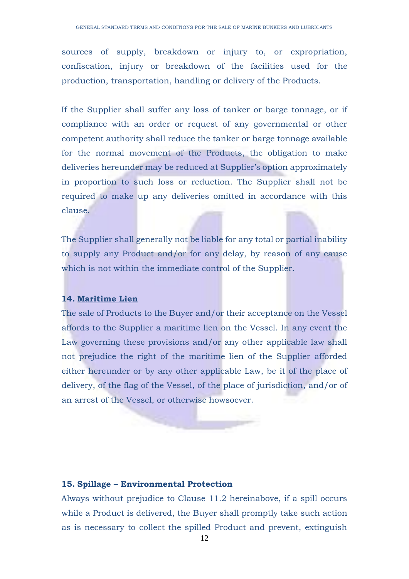sources of supply, breakdown or injury to, or expropriation, confiscation, injury or breakdown of the facilities used for the production, transportation, handling or delivery of the Products.

If the Supplier shall suffer any loss of tanker or barge tonnage, or if compliance with an order or request of any governmental or other competent authority shall reduce the tanker or barge tonnage available for the normal movement of the Products, the obligation to make deliveries hereunder may be reduced at Supplier's option approximately in proportion to such loss or reduction. The Supplier shall not be required to make up any deliveries omitted in accordance with this clause.

The Supplier shall generally not be liable for any total or partial inability to supply any Product and/or for any delay, by reason of any cause which is not within the immediate control of the Supplier.

#### **14. Maritime Lien**

The sale of Products to the Buyer and/or their acceptance on the Vessel affords to the Supplier a maritime lien on the Vessel. In any event the Law governing these provisions and/or any other applicable law shall not prejudice the right of the maritime lien of the Supplier afforded either hereunder or by any other applicable Law, be it of the place of delivery, of the flag of the Vessel, of the place of jurisdiction, and/or of an arrest of the Vessel, or otherwise howsoever.

#### **15. Spillage – Environmental Protection**

Always without prejudice to Clause 11.2 hereinabove, if a spill occurs while a Product is delivered, the Buyer shall promptly take such action as is necessary to collect the spilled Product and prevent, extinguish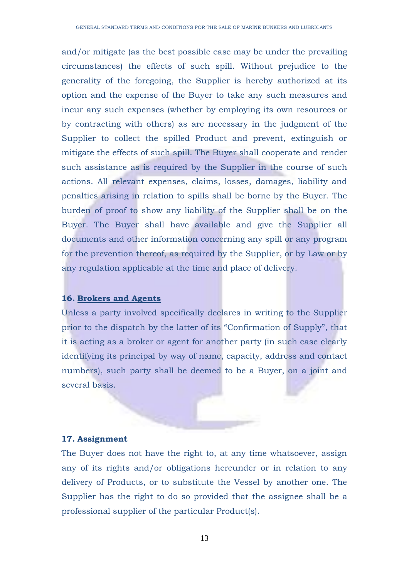and/or mitigate (as the best possible case may be under the prevailing circumstances) the effects of such spill. Without prejudice to the generality of the foregoing, the Supplier is hereby authorized at its option and the expense of the Buyer to take any such measures and incur any such expenses (whether by employing its own resources or by contracting with others) as are necessary in the judgment of the Supplier to collect the spilled Product and prevent, extinguish or mitigate the effects of such spill. The Buyer shall cooperate and render such assistance as is required by the Supplier in the course of such actions. All relevant expenses, claims, losses, damages, liability and penalties arising in relation to spills shall be borne by the Buyer. The burden of proof to show any liability of the Supplier shall be on the Buyer. The Buyer shall have available and give the Supplier all documents and other information concerning any spill or any program for the prevention thereof, as required by the Supplier, or by Law or by any regulation applicable at the time and place of delivery.

## **16. Brokers and Agents**

Unless a party involved specifically declares in writing to the Supplier prior to the dispatch by the latter of its "Confirmation of Supply", that it is acting as a broker or agent for another party (in such case clearly identifying its principal by way of name, capacity, address and contact numbers), such party shall be deemed to be a Buyer, on a joint and several basis.

#### **17. Assignment**

The Buyer does not have the right to, at any time whatsoever, assign any of its rights and/or obligations hereunder or in relation to any delivery of Products, or to substitute the Vessel by another one. The Supplier has the right to do so provided that the assignee shall be a professional supplier of the particular Product(s).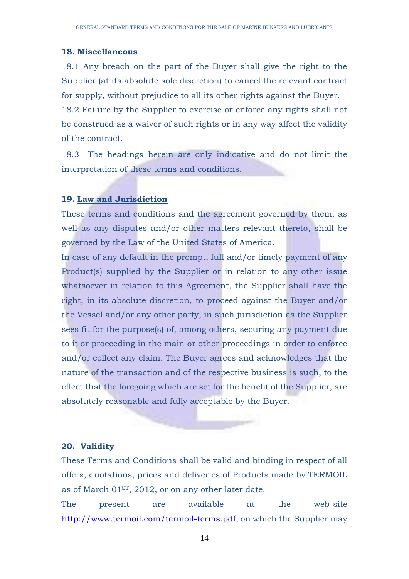#### **18. Miscellaneous**

18.1 Any breach on the part of the Buyer shall give the right to the Supplier (at its absolute sole discretion) to cancel the relevant contract for supply, without prejudice to all its other rights against the Buyer.

18.2 Failure by the Supplier to exercise or enforce any rights shall not be construed as a waiver of such rights or in any way affect the validity of the contract.

18.3 The headings herein are only indicative and do not limit the interpretation of these terms and conditions.

## **19. Law and Jurisdiction**

These terms and conditions and the agreement governed by them, as well as any disputes and/or other matters relevant thereto, shall be governed by the Law of the United States of America.

In case of any default in the prompt, full and/or timely payment of any Product(s) supplied by the Supplier or in relation to any other issue whatsoever in relation to this Agreement, the Supplier shall have the right, in its absolute discretion, to proceed against the Buyer and/or the Vessel and/or any other party, in such jurisdiction as the Supplier sees fit for the purpose(s) of, among others, securing any payment due to it or proceeding in the main or other proceedings in order to enforce and/or collect any claim. The Buyer agrees and acknowledges that the nature of the transaction and of the respective business is such, to the effect that the foregoing which are set for the benefit of the Supplier, are absolutely reasonable and fully acceptable by the Buyer.

#### **20. Validity**

These Terms and Conditions shall be valid and binding in respect of all offers, quotations, prices and deliveries of Products made by TERMOIL as of March 01ST, 2012, or on any other later date.

The present are available at the web-site [http://www.termoil.com/termoil-terms.pdf,](http://www.termoil.com/termoil-terms.pdf) on which the Supplier may